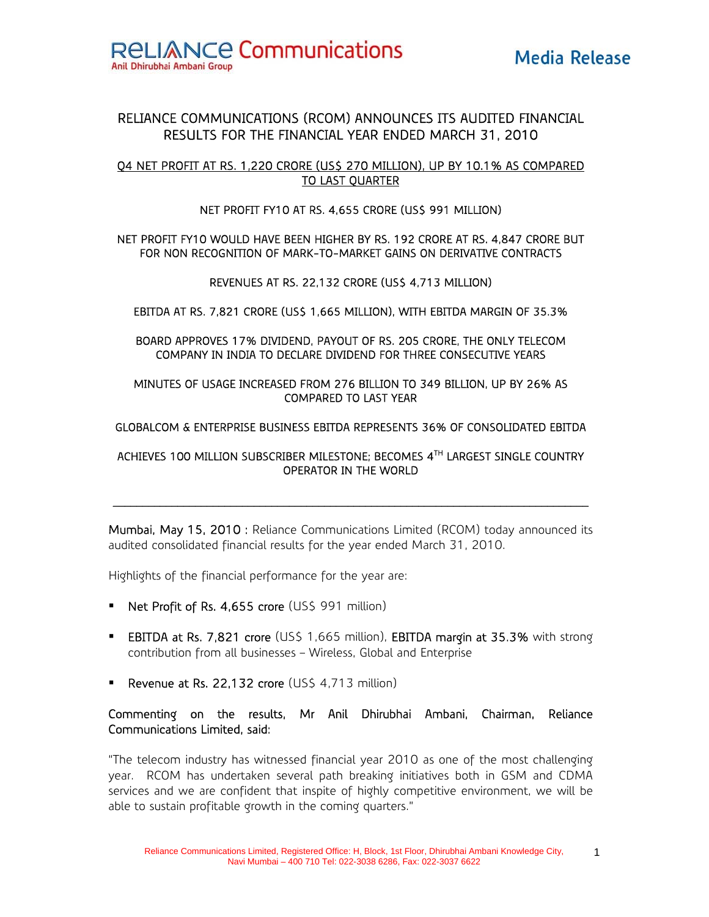# RELIANCE COMMUNICATIONS (RCOM) ANNOUNCES ITS AUDITED FINANCIAL RESULTS FOR THE FINANCIAL YEAR ENDED MARCH 31, 2010

## Q4 NET PROFIT AT RS. 1,220 CRORE (US\$ 270 MILLION), UP BY 10.1% AS COMPARED TO LAST QUARTER

#### NET PROFIT FY10 AT RS. 4,655 CRORE (US\$ 991 MILLION)

#### NET PROFIT FY10 WOULD HAVE BEEN HIGHER BY RS. 192 CRORE AT RS. 4,847 CRORE BUT FOR NON RECOGNITION OF MARK-TO-MARKET GAINS ON DERIVATIVE CONTRACTS

#### REVENUES AT RS. 22,132 CRORE (US\$ 4,713 MILLION)

## EBITDA AT RS. 7,821 CRORE (US\$ 1,665 MILLION), WITH EBITDA MARGIN OF 35.3%

#### BOARD APPROVES 17% DIVIDEND, PAYOUT OF RS. 205 CRORE, THE ONLY TELECOM COMPANY IN INDIA TO DECLARE DIVIDEND FOR THREE CONSECUTIVE YEARS

#### MINUTES OF USAGE INCREASED FROM 276 BILLION TO 349 BILLION, UP BY 26% AS COMPARED TO LAST YEAR

#### GLOBALCOM & ENTERPRISE BUSINESS EBITDA REPRESENTS 36% OF CONSOLIDATED EBITDA

#### ACHIEVES 100 MILLION SUBSCRIBER MILESTONE; BECOMES 4TH LARGEST SINGLE COUNTRY OPERATOR IN THE WORLD

Mumbai, May 15, 2010 : Reliance Communications Limited (RCOM) today announced its audited consolidated financial results for the year ended March 31, 2010.

 $\mathcal{L}_\text{max}$ 

Highlights of the financial performance for the year are:

- **Net Profit of Rs. 4,655 crore (US\$ 991 million)**
- **EBITDA at Rs. 7,821 crore** (US\$ 1,665 million), **EBITDA margin at 35.3%** with strong contribution from all businesses – Wireless, Global and Enterprise
- **Revenue at Rs. 22,132 crore (USS 4,713 million)**

## Commenting on the results, Mr Anil Dhirubhai Ambani, Chairman, Reliance Communications Limited, said:

"The telecom industry has witnessed financial year 2010 as one of the most challenging year. RCOM has undertaken several path breaking initiatives both in GSM and CDMA services and we are confident that inspite of highly competitive environment, we will be able to sustain profitable growth in the coming quarters."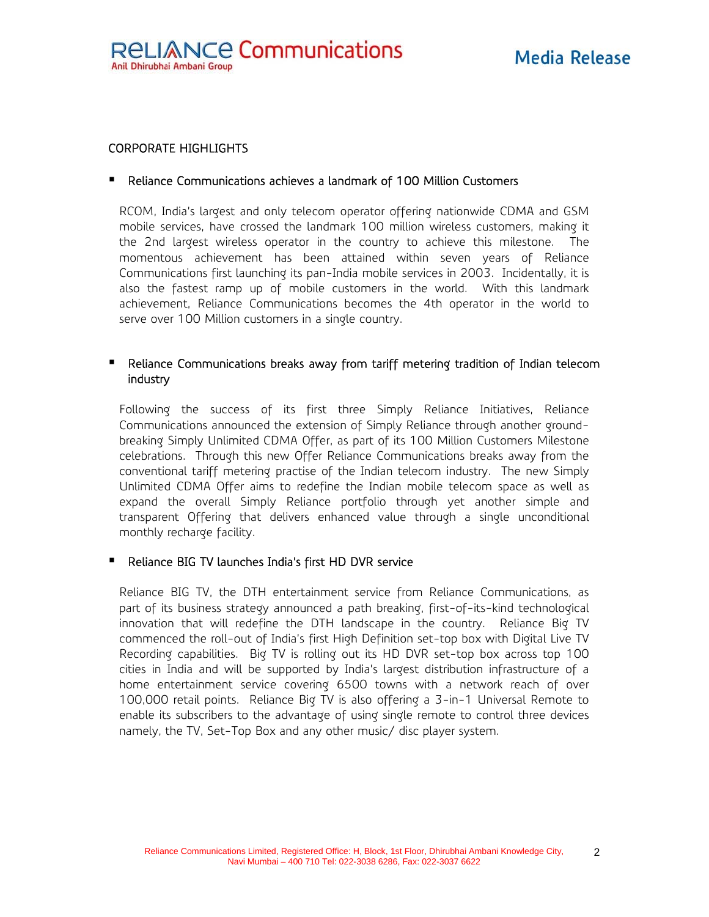## CORPORATE HIGHLIGHTS

#### Reliance Communications achieves a landmark of 100 Million Customers

RCOM, India's largest and only telecom operator offering nationwide CDMA and GSM mobile services, have crossed the landmark 100 million wireless customers, making it the 2nd largest wireless operator in the country to achieve this milestone. The momentous achievement has been attained within seven years of Reliance Communications first launching its pan-India mobile services in 2003. Incidentally, it is also the fastest ramp up of mobile customers in the world. With this landmark achievement, Reliance Communications becomes the 4th operator in the world to serve over 100 Million customers in a single country.

## Reliance Communications breaks away from tariff metering tradition of Indian telecom industry

Following the success of its first three Simply Reliance Initiatives, Reliance Communications announced the extension of Simply Reliance through another groundbreaking Simply Unlimited CDMA Offer, as part of its 100 Million Customers Milestone celebrations. Through this new Offer Reliance Communications breaks away from the conventional tariff metering practise of the Indian telecom industry. The new Simply Unlimited CDMA Offer aims to redefine the Indian mobile telecom space as well as expand the overall Simply Reliance portfolio through yet another simple and transparent Offering that delivers enhanced value through a single unconditional monthly recharge facility.

#### Reliance BIG TV launches India's first HD DVR service

Reliance BIG TV, the DTH entertainment service from Reliance Communications, as part of its business strategy announced a path breaking, first-of-its-kind technological innovation that will redefine the DTH landscape in the country. Reliance Big TV commenced the roll-out of India's first High Definition set-top box with Digital Live TV Recording capabilities. Big TV is rolling out its HD DVR set-top box across top 100 cities in India and will be supported by India's largest distribution infrastructure of a home entertainment service covering 6500 towns with a network reach of over 100,000 retail points. Reliance Big TV is also offering a 3-in-1 Universal Remote to enable its subscribers to the advantage of using single remote to control three devices namely, the TV, Set-Top Box and any other music/ disc player system.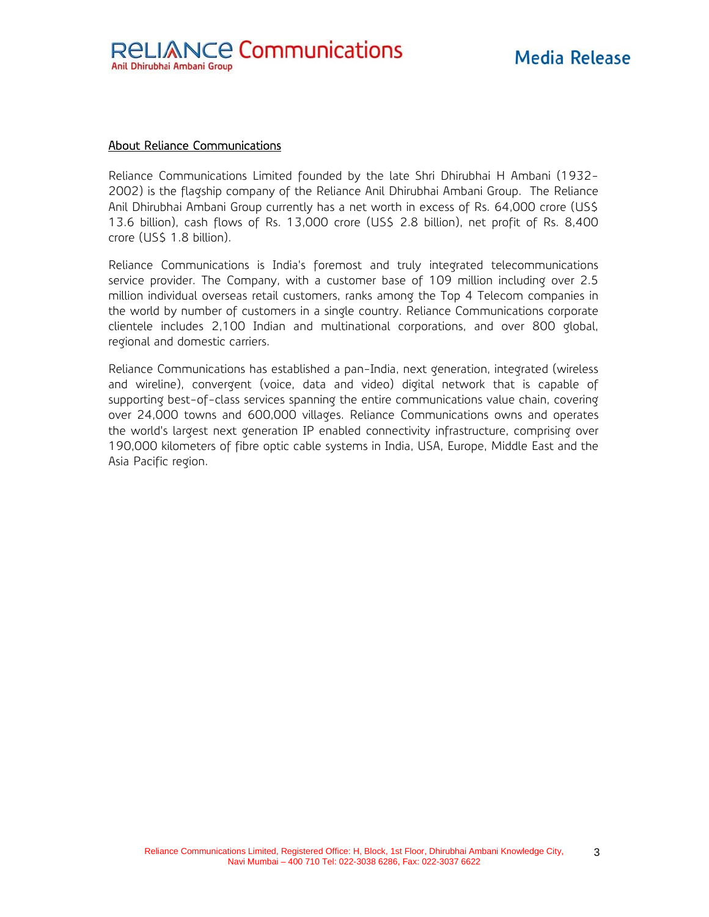#### About Reliance Communications

Reliance Communications Limited founded by the late Shri Dhirubhai H Ambani (1932- 2002) is the flagship company of the Reliance Anil Dhirubhai Ambani Group. The Reliance Anil Dhirubhai Ambani Group currently has a net worth in excess of Rs. 64,000 crore (US\$ 13.6 billion), cash flows of Rs. 13,000 crore (US\$ 2.8 billion), net profit of Rs. 8,400 crore (US\$ 1.8 billion).

Reliance Communications is India's foremost and truly integrated telecommunications service provider. The Company, with a customer base of 109 million including over 2.5 million individual overseas retail customers, ranks among the Top 4 Telecom companies in the world by number of customers in a single country. Reliance Communications corporate clientele includes 2,100 Indian and multinational corporations, and over 800 global, regional and domestic carriers.

Reliance Communications has established a pan-India, next generation, integrated (wireless and wireline), convergent (voice, data and video) digital network that is capable of supporting best-of-class services spanning the entire communications value chain, covering over 24,000 towns and 600,000 villages. Reliance Communications owns and operates the world's largest next generation IP enabled connectivity infrastructure, comprising over 190,000 kilometers of fibre optic cable systems in India, USA, Europe, Middle East and the Asia Pacific region.